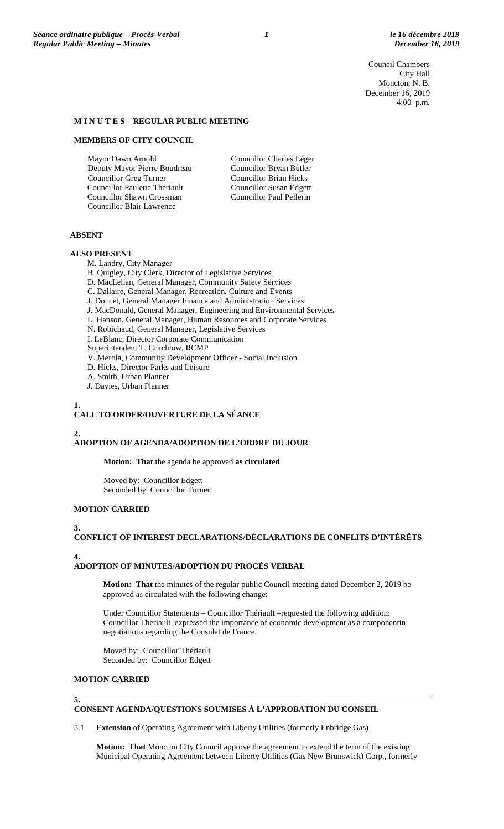Council Chambers City Hall Moncton, N. B. December 16, 2019 4:00 p.m.

## **M I N U T E S – REGULAR PUBLIC MEETING**

## **MEMBERS OF CITY COUNCIL**

Mayor Dawn Arnold Deputy Mayor Pierre Boudreau Councillor Greg Turner Councillor Paulette Thériault Councillor Shawn Crossman Councillor Blair Lawrence

Councillor Charles Léger Councillor Bryan Butler Councillor Brian Hicks Councillor Susan Edgett Councillor Paul Pellerin

## **ABSENT**

## **ALSO PRESENT**

M. Landry, City Manager

- B. Quigley, City Clerk, Director of Legislative Services
- D. MacLellan, General Manager, Community Safety Services
- C. Dallaire, General Manager, Recreation, Culture and Events
- J. Doucet, General Manager Finance and Administration Services
- J. MacDonald, General Manager, Engineering and Environmental Services
- L. Hanson, General Manager, Human Resources and Corporate Services
- N. Robichaud, General Manager, Legislative Services
- I. LeBlanc, Director Corporate Communication
- Superintendent T. Critchlow, RCMP
- V. Merola, Community Development Officer Social Inclusion
- D. Hicks, Director Parks and Leisure
- A. Smith, Urban Planner
- J. Davies, Urban Planner

# **1.**

# **CALL TO ORDER/OUVERTURE DE LA SÉANCE**

## **2.**

## **ADOPTION OF AGENDA/ADOPTION DE L'ORDRE DU JOUR**

**Motion: That** the agenda be approved **as circulated**

Moved by: Councillor Edgett Seconded by: Councillor Turner

# **MOTION CARRIED**

## **3.**

# **CONFLICT OF INTEREST DECLARATIONS/DÉCLARATIONS DE CONFLITS D'INTÉRÊTS**

**4.**

# **ADOPTION OF MINUTES/ADOPTION DU PROCÈS VERBAL**

**Motion: That** the minutes of the regular public Council meeting dated December 2, 2019 be approved as circulated with the following change:

Under Councillor Statements – Councillor Thériault –requested the following addition: Councillor Theriault expressed the importance of economic development as a componentin negotiations regarding the Consulat de France.

Moved by: Councillor Thériault Seconded by: Councillor Edgett

## **MOTION CARRIED**

## **5.**

# **CONSENT AGENDA/QUESTIONS SOUMISES À L'APPROBATION DU CONSEIL**

5.1 **Extension** of Operating Agreement with Liberty Utilities (formerly Enbridge Gas)

**Motion: That** Moncton City Council approve the agreement to extend the term of the existing Municipal Operating Agreement between Liberty Utilities (Gas New Brunswick) Corp., formerly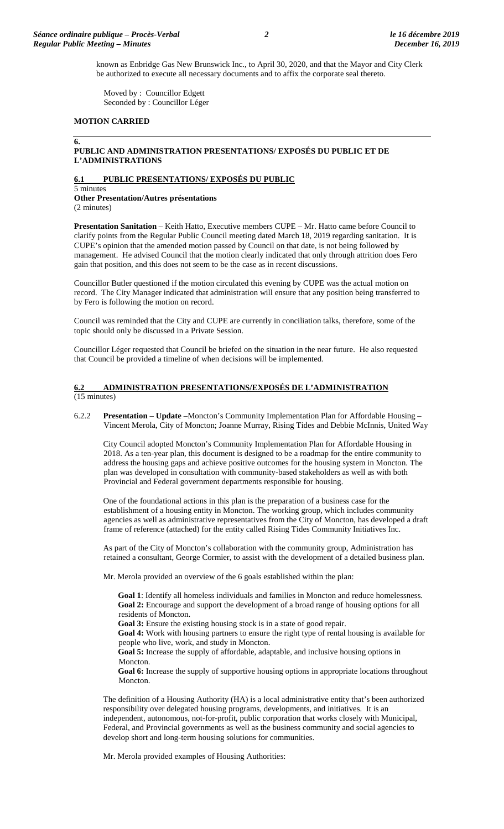known as Enbridge Gas New Brunswick Inc., to April 30, 2020, and that the Mayor and City Clerk be authorized to execute all necessary documents and to affix the corporate seal thereto.

Moved by : Councillor Edgett Seconded by : Councillor Léger

#### **MOTION CARRIED**

#### **6.**

# **PUBLIC AND ADMINISTRATION PRESENTATIONS/ EXPOSÉS DU PUBLIC ET DE L'ADMINISTRATIONS**

#### **6.1 PUBLIC PRESENTATIONS/ EXPOSÉS DU PUBLIC**

5 minutes **Other Presentation/Autres présentations**  (2 minutes)

**Presentation Sanitation** – Keith Hatto, Executive members CUPE – Mr. Hatto came before Council to clarify points from the Regular Public Council meeting dated March 18, 2019 regarding sanitation. It is CUPE's opinion that the amended motion passed by Council on that date, is not being followed by management. He advised Council that the motion clearly indicated that only through attrition does Fero gain that position, and this does not seem to be the case as in recent discussions.

Councillor Butler questioned if the motion circulated this evening by CUPE was the actual motion on record. The City Manager indicated that administration will ensure that any position being transferred to by Fero is following the motion on record.

Council was reminded that the City and CUPE are currently in conciliation talks, therefore, some of the topic should only be discussed in a Private Session.

Councillor Léger requested that Council be briefed on the situation in the near future. He also requested that Council be provided a timeline of when decisions will be implemented.

#### **6.2 ADMINISTRATION PRESENTATIONS/EXPOSÉS DE L'ADMINISTRATION**  (15 minutes)

6.2.2 **Presentation** – **Update** –Moncton's Community Implementation Plan for Affordable Housing – Vincent Merola, City of Moncton; Joanne Murray, Rising Tides and Debbie McInnis, United Way

City Council adopted Moncton's Community Implementation Plan for Affordable Housing in 2018. As a ten-year plan, this document is designed to be a roadmap for the entire community to address the housing gaps and achieve positive outcomes for the housing system in Moncton. The plan was developed in consultation with community-based stakeholders as well as with both Provincial and Federal government departments responsible for housing.

One of the foundational actions in this plan is the preparation of a business case for the establishment of a housing entity in Moncton. The working group, which includes community agencies as well as administrative representatives from the City of Moncton, has developed a draft frame of reference (attached) for the entity called Rising Tides Community Initiatives Inc.

As part of the City of Moncton's collaboration with the community group, Administration has retained a consultant, George Cormier, to assist with the development of a detailed business plan.

Mr. Merola provided an overview of the 6 goals established within the plan:

**Goal 1**: Identify all homeless individuals and families in Moncton and reduce homelessness. **Goal 2:** Encourage and support the development of a broad range of housing options for all residents of Moncton.

**Goal 3:** Ensure the existing housing stock is in a state of good repair.

**Goal 4:** Work with housing partners to ensure the right type of rental housing is available for people who live, work, and study in Moncton.

**Goal 5:** Increase the supply of affordable, adaptable, and inclusive housing options in Moncton.

Goal 6: Increase the supply of supportive housing options in appropriate locations throughout Moncton.

The definition of a Housing Authority (HA) is a local administrative entity that's been authorized responsibility over delegated housing programs, developments, and initiatives. It is an independent, autonomous, not-for-profit, public corporation that works closely with Municipal, Federal, and Provincial governments as well as the business community and social agencies to develop short and long-term housing solutions for communities.

Mr. Merola provided examples of Housing Authorities: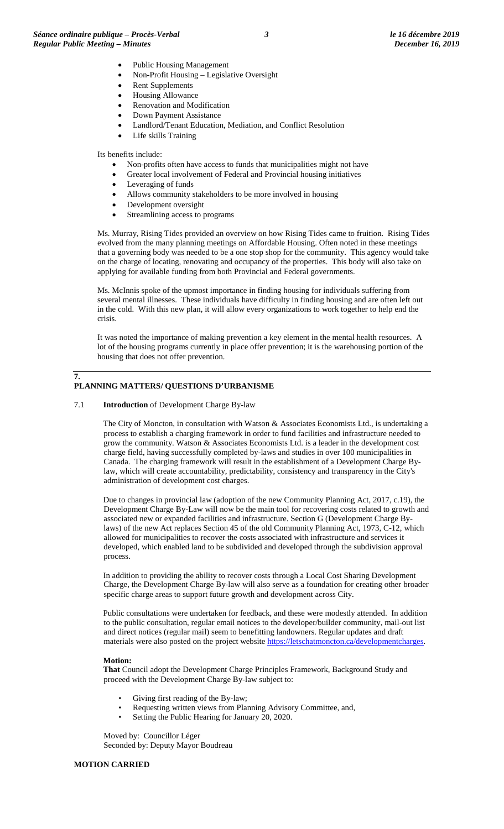- Public Housing Management
- Non-Profit Housing Legislative Oversight
- Rent Supplements
- Housing Allowance
- Renovation and Modification
- Down Payment Assistance
- Landlord/Tenant Education, Mediation, and Conflict Resolution
- Life skills Training

#### Its benefits include:

- Non-profits often have access to funds that municipalities might not have
- Greater local involvement of Federal and Provincial housing initiatives
- Leveraging of funds
- Allows community stakeholders to be more involved in housing
- Development oversight
- Streamlining access to programs

Ms. Murray, Rising Tides provided an overview on how Rising Tides came to fruition. Rising Tides evolved from the many planning meetings on Affordable Housing. Often noted in these meetings that a governing body was needed to be a one stop shop for the community. This agency would take on the charge of locating, renovating and occupancy of the properties. This body will also take on applying for available funding from both Provincial and Federal governments.

Ms. McInnis spoke of the upmost importance in finding housing for individuals suffering from several mental illnesses. These individuals have difficulty in finding housing and are often left out in the cold. With this new plan, it will allow every organizations to work together to help end the crisis.

It was noted the importance of making prevention a key element in the mental health resources. A lot of the housing programs currently in place offer prevention; it is the warehousing portion of the housing that does not offer prevention.

#### **7. PLANNING MATTERS/ QUESTIONS D'URBANISME**

#### 7.1 **Introduction** of Development Charge By-law

The City of Moncton, in consultation with Watson & Associates Economists Ltd., is undertaking a process to establish a charging framework in order to fund facilities and infrastructure needed to grow the community. Watson & Associates Economists Ltd. is a leader in the development cost charge field, having successfully completed by-laws and studies in over 100 municipalities in Canada. The charging framework will result in the establishment of a Development Charge Bylaw, which will create accountability, predictability, consistency and transparency in the City's administration of development cost charges.

Due to changes in provincial law (adoption of the new Community Planning Act, 2017, c.19), the Development Charge By-Law will now be the main tool for recovering costs related to growth and associated new or expanded facilities and infrastructure. Section G (Development Charge Bylaws) of the new Act replaces Section 45 of the old Community Planning Act, 1973, C-12, which allowed for municipalities to recover the costs associated with infrastructure and services it developed, which enabled land to be subdivided and developed through the subdivision approval process.

In addition to providing the ability to recover costs through a Local Cost Sharing Development Charge, the Development Charge By-law will also serve as a foundation for creating other broader specific charge areas to support future growth and development across City.

Public consultations were undertaken for feedback, and these were modestly attended. In addition to the public consultation, regular email notices to the developer/builder community, mail-out list and direct notices (regular mail) seem to benefitting landowners. Regular updates and draft materials were also posted on the project website [https://letschatmoncton.ca/developmentcharges.](https://letschatmoncton.ca/developmentcharges)

## **Motion:**

**That** Council adopt the Development Charge Principles Framework, Background Study and proceed with the Development Charge By-law subject to:

- Giving first reading of the By-law;
- Requesting written views from Planning Advisory Committee, and,
- Setting the Public Hearing for January 20, 2020.

Moved by: Councillor Léger Seconded by: Deputy Mayor Boudreau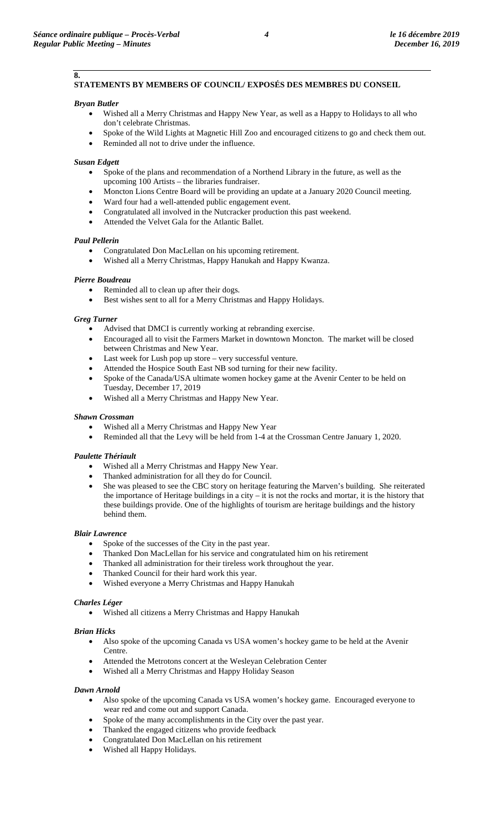# **STATEMENTS BY MEMBERS OF COUNCIL/ EXPOSÉS DES MEMBRES DU CONSEIL**

## *Bryan Butler*

**8.**

- Wished all a Merry Christmas and Happy New Year, as well as a Happy to Holidays to all who don't celebrate Christmas.
- Spoke of the Wild Lights at Magnetic Hill Zoo and encouraged citizens to go and check them out.
- Reminded all not to drive under the influence.

## *Susan Edgett*

- Spoke of the plans and recommendation of a Northend Library in the future, as well as the upcoming 100 Artists – the libraries fundraiser.
- Moncton Lions Centre Board will be providing an update at a January 2020 Council meeting.
- Ward four had a well-attended public engagement event.
- Congratulated all involved in the Nutcracker production this past weekend.
- Attended the Velvet Gala for the Atlantic Ballet.

## *Paul Pellerin*

- Congratulated Don MacLellan on his upcoming retirement.
- Wished all a Merry Christmas, Happy Hanukah and Happy Kwanza.

# *Pierre Boudreau*

- Reminded all to clean up after their dogs.
- Best wishes sent to all for a Merry Christmas and Happy Holidays.

## *Greg Turner*

- Advised that DMCI is currently working at rebranding exercise.
- Encouraged all to visit the Farmers Market in downtown Moncton. The market will be closed between Christmas and New Year.
- Last week for Lush pop up store very successful venture.
- Attended the Hospice South East NB sod turning for their new facility.
- Spoke of the Canada/USA ultimate women hockey game at the Avenir Center to be held on Tuesday, December 17, 2019
- Wished all a Merry Christmas and Happy New Year.

## *Shawn Crossman*

- Wished all a Merry Christmas and Happy New Year
- Reminded all that the Levy will be held from 1-4 at the Crossman Centre January 1, 2020.

# *Paulette Thériault*

- Wished all a Merry Christmas and Happy New Year.
- Thanked administration for all they do for Council.
- She was pleased to see the CBC story on heritage featuring the Marven's building. She reiterated the importance of Heritage buildings in a city – it is not the rocks and mortar, it is the history that these buildings provide. One of the highlights of tourism are heritage buildings and the history behind them.

## *Blair Lawrence*

- Spoke of the successes of the City in the past year.
- Thanked Don MacLellan for his service and congratulated him on his retirement
- Thanked all administration for their tireless work throughout the year.
- Thanked Council for their hard work this year.
- Wished everyone a Merry Christmas and Happy Hanukah

## *Charles Léger*

• Wished all citizens a Merry Christmas and Happy Hanukah

## *Brian Hicks*

- Also spoke of the upcoming Canada vs USA women's hockey game to be held at the Avenir Centre.
- Attended the Metrotons concert at the Wesleyan Celebration Center
- Wished all a Merry Christmas and Happy Holiday Season

## *Dawn Arnold*

- Also spoke of the upcoming Canada vs USA women's hockey game. Encouraged everyone to wear red and come out and support Canada.
- Spoke of the many accomplishments in the City over the past year.
- Thanked the engaged citizens who provide feedback
- Congratulated Don MacLellan on his retirement
- Wished all Happy Holidays.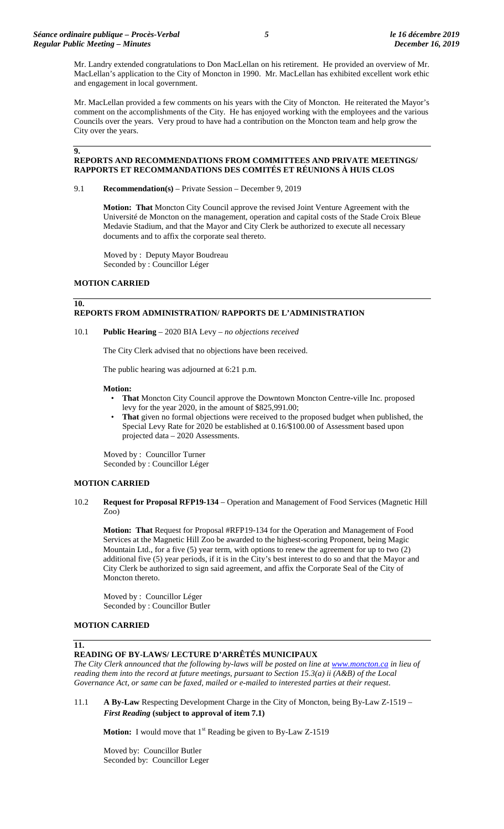Mr. Landry extended congratulations to Don MacLellan on his retirement. He provided an overview of Mr. MacLellan's application to the City of Moncton in 1990. Mr. MacLellan has exhibited excellent work ethic and engagement in local government.

Mr. MacLellan provided a few comments on his years with the City of Moncton. He reiterated the Mayor's comment on the accomplishments of the City. He has enjoyed working with the employees and the various Councils over the years. Very proud to have had a contribution on the Moncton team and help grow the City over the years.

#### **9.**

**10.**

# **REPORTS AND RECOMMENDATIONS FROM COMMITTEES AND PRIVATE MEETINGS/ RAPPORTS ET RECOMMANDATIONS DES COMITÉS ET RÉUNIONS À HUIS CLOS**

#### 9.1 **Recommendation(s)** – Private Session – December 9, 2019

**Motion: That** Moncton City Council approve the revised Joint Venture Agreement with the Université de Moncton on the management, operation and capital costs of the Stade Croix Bleue Medavie Stadium, and that the Mayor and City Clerk be authorized to execute all necessary documents and to affix the corporate seal thereto.

Moved by : Deputy Mayor Boudreau Seconded by : Councillor Léger

## **MOTION CARRIED**

# **REPORTS FROM ADMINISTRATION/ RAPPORTS DE L'ADMINISTRATION**

## 10.1 **Public Hearing** – 2020 BIA Levy – *no objections received*

The City Clerk advised that no objections have been received.

The public hearing was adjourned at 6:21 p.m.

#### **Motion:**

- **That** Moncton City Council approve the Downtown Moncton Centre-ville Inc. proposed levy for the year 2020, in the amount of \$825,991.00;
- **That** given no formal objections were received to the proposed budget when published, the Special Levy Rate for 2020 be established at 0.16/\$100.00 of Assessment based upon projected data – 2020 Assessments.

Moved by : Councillor Turner Seconded by : Councillor Léger

## **MOTION CARRIED**

10.2 **Request for Proposal RFP19-134** – Operation and Management of Food Services (Magnetic Hill Zoo)

**Motion: That** Request for Proposal #RFP19-134 for the Operation and Management of Food Services at the Magnetic Hill Zoo be awarded to the highest-scoring Proponent, being Magic Mountain Ltd., for a five (5) year term, with options to renew the agreement for up to two (2) additional five (5) year periods, if it is in the City's best interest to do so and that the Mayor and City Clerk be authorized to sign said agreement, and affix the Corporate Seal of the City of Moncton thereto.

Moved by : Councillor Léger Seconded by : Councillor Butler

# **MOTION CARRIED**

#### **11.**

## **READING OF BY-LAWS/ LECTURE D'ARRÊTÉS MUNICIPAUX**

*The City Clerk announced that the following by-laws will be posted on line a[t www.moncton.ca](http://www.moncton.ca/) in lieu of reading them into the record at future meetings, pursuant to Section 15.3(a) ii (A&B) of the Local Governance Act, or same can be faxed, mailed or e-mailed to interested parties at their request*.

11.1 **A By-Law** Respecting Development Charge in the City of Moncton, being By-Law Z-1519 – *First Reading* **(subject to approval of item 7.1)**

**Motion:** I would move that 1<sup>st</sup> Reading be given to By-Law Z-1519

Moved by: Councillor Butler Seconded by: Councillor Leger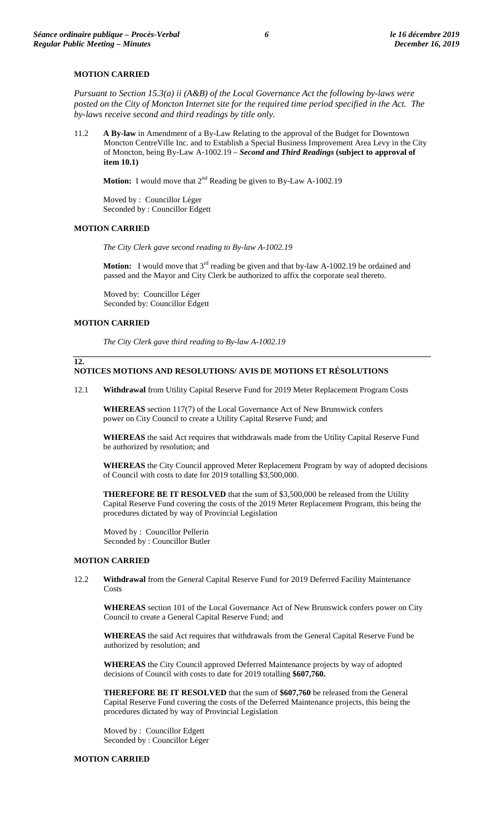## **MOTION CARRIED**

*Pursuant to Section 15.3(a) ii (A&B) of the Local Governance Act the following by-laws were*  posted on the City of Moncton Internet site for the required time period specified in the Act. The *by-laws receive second and third readings by title only.*

11.2 **A By-law** in Amendment of a By-Law Relating to the approval of the Budget for Downtown Moncton CentreVille Inc. and to Establish a Special Business Improvement Area Levy in the City of Moncton, being By-Law A-1002.19 – *Second and Third Readings* **(subject to approval of item 10.1)**

**Motion:** I would move that 2<sup>nd</sup> Reading be given to By-Law A-1002.19

Moved by : Councillor Léger Seconded by : Councillor Edgett

#### **MOTION CARRIED**

*The City Clerk gave second reading to By-law A-1002.19*

**Motion:** I would move that 3<sup>rd</sup> reading be given and that by-law A-1002.19 be ordained and passed and the Mayor and City Clerk be authorized to affix the corporate seal thereto.

Moved by: Councillor Léger Seconded by: Councillor Edgett

## **MOTION CARRIED**

**12.**

*The City Clerk gave third reading to By-law A-1002.19*

## **NOTICES MOTIONS AND RESOLUTIONS/ AVIS DE MOTIONS ET RÉSOLUTIONS**

12.1 **Withdrawal** from Utility Capital Reserve Fund for 2019 Meter Replacement Program Costs

**WHEREAS** section 117(7) of the Local Governance Act of New Brunswick confers power on City Council to create a Utility Capital Reserve Fund; and

**WHEREAS** the said Act requires that withdrawals made from the Utility Capital Reserve Fund be authorized by resolution; and

**WHEREAS** the City Council approved Meter Replacement Program by way of adopted decisions of Council with costs to date for 2019 totalling \$3,500,000.

**THEREFORE BE IT RESOLVED** that the sum of \$3,500,000 be released from the Utility Capital Reserve Fund covering the costs of the 2019 Meter Replacement Program, this being the procedures dictated by way of Provincial Legislation

Moved by : Councillor Pellerin Seconded by : Councillor Butler

# **MOTION CARRIED**

12.2 **Withdrawal** from the General Capital Reserve Fund for 2019 Deferred Facility Maintenance **Costs** 

**WHEREAS** section 101 of the Local Governance Act of New Brunswick confers power on City Council to create a General Capital Reserve Fund; and

**WHEREAS** the said Act requires that withdrawals from the General Capital Reserve Fund be authorized by resolution; and

**WHEREAS** the City Council approved Deferred Maintenance projects by way of adopted decisions of Council with costs to date for 2019 totalling **\$607,760.**

**THEREFORE BE IT RESOLVED** that the sum of **\$607,760** be released from the General Capital Reserve Fund covering the costs of the Deferred Maintenance projects, this being the procedures dictated by way of Provincial Legislation

Moved by : Councillor Edgett Seconded by : Councillor Léger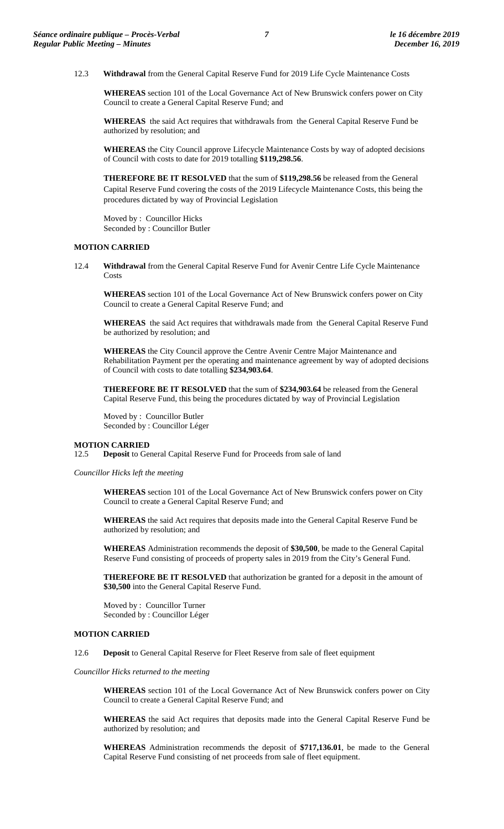12.3 **Withdrawal** from the General Capital Reserve Fund for 2019 Life Cycle Maintenance Costs

**WHEREAS** section 101 of the Local Governance Act of New Brunswick confers power on City Council to create a General Capital Reserve Fund; and

**WHEREAS** the said Act requires that withdrawals from the General Capital Reserve Fund be authorized by resolution; and

**WHEREAS** the City Council approve Lifecycle Maintenance Costs by way of adopted decisions of Council with costs to date for 2019 totalling **\$119,298.56**.

**THEREFORE BE IT RESOLVED** that the sum of **\$119,298.56** be released from the General Capital Reserve Fund covering the costs of the 2019 Lifecycle Maintenance Costs, this being the procedures dictated by way of Provincial Legislation

Moved by : Councillor Hicks Seconded by : Councillor Butler

#### **MOTION CARRIED**

12.4 **Withdrawal** from the General Capital Reserve Fund for Avenir Centre Life Cycle Maintenance **Costs** 

**WHEREAS** section 101 of the Local Governance Act of New Brunswick confers power on City Council to create a General Capital Reserve Fund; and

**WHEREAS** the said Act requires that withdrawals made from the General Capital Reserve Fund be authorized by resolution; and

**WHEREAS** the City Council approve the Centre Avenir Centre Major Maintenance and Rehabilitation Payment per the operating and maintenance agreement by way of adopted decisions of Council with costs to date totalling **\$234,903.64**.

**THEREFORE BE IT RESOLVED** that the sum of **\$234,903.64** be released from the General Capital Reserve Fund, this being the procedures dictated by way of Provincial Legislation

Moved by : Councillor Butler Seconded by : Councillor Léger

## **MOTION CARRIED**

12.5 **Deposit** to General Capital Reserve Fund for Proceeds from sale of land

*Councillor Hicks left the meeting* 

**WHEREAS** section 101 of the Local Governance Act of New Brunswick confers power on City Council to create a General Capital Reserve Fund; and

**WHEREAS** the said Act requires that deposits made into the General Capital Reserve Fund be authorized by resolution; and

**WHEREAS** Administration recommends the deposit of **\$30,500**, be made to the General Capital Reserve Fund consisting of proceeds of property sales in 2019 from the City's General Fund.

**THEREFORE BE IT RESOLVED** that authorization be granted for a deposit in the amount of **\$30,500** into the General Capital Reserve Fund.

Moved by : Councillor Turner Seconded by : Councillor Léger

#### **MOTION CARRIED**

12.6 **Deposit** to General Capital Reserve for Fleet Reserve from sale of fleet equipment

*Councillor Hicks returned to the meeting*

**WHEREAS** section 101 of the Local Governance Act of New Brunswick confers power on City Council to create a General Capital Reserve Fund; and

**WHEREAS** the said Act requires that deposits made into the General Capital Reserve Fund be authorized by resolution; and

**WHEREAS** Administration recommends the deposit of **\$717,136.01**, be made to the General Capital Reserve Fund consisting of net proceeds from sale of fleet equipment.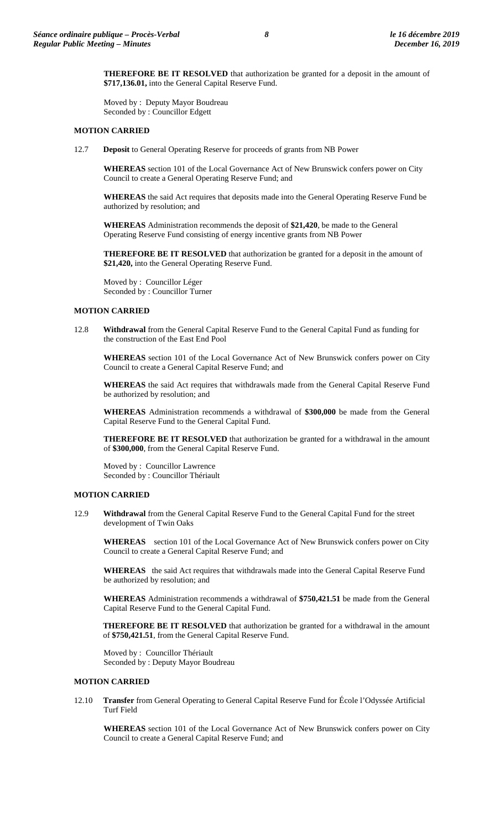**THEREFORE BE IT RESOLVED** that authorization be granted for a deposit in the amount of **\$717,136.01,** into the General Capital Reserve Fund.

Moved by : Deputy Mayor Boudreau Seconded by : Councillor Edgett

## **MOTION CARRIED**

12.7 **Deposit** to General Operating Reserve for proceeds of grants from NB Power

**WHEREAS** section 101 of the Local Governance Act of New Brunswick confers power on City Council to create a General Operating Reserve Fund; and

**WHEREAS** the said Act requires that deposits made into the General Operating Reserve Fund be authorized by resolution; and

**WHEREAS** Administration recommends the deposit of **\$21,420**, be made to the General Operating Reserve Fund consisting of energy incentive grants from NB Power

**THEREFORE BE IT RESOLVED** that authorization be granted for a deposit in the amount of **\$21,420,** into the General Operating Reserve Fund.

Moved by : Councillor Léger Seconded by : Councillor Turner

## **MOTION CARRIED**

12.8 **Withdrawal** from the General Capital Reserve Fund to the General Capital Fund as funding for the construction of the East End Pool

**WHEREAS** section 101 of the Local Governance Act of New Brunswick confers power on City Council to create a General Capital Reserve Fund; and

**WHEREAS** the said Act requires that withdrawals made from the General Capital Reserve Fund be authorized by resolution; and

**WHEREAS** Administration recommends a withdrawal of **\$300,000** be made from the General Capital Reserve Fund to the General Capital Fund.

**THEREFORE BE IT RESOLVED** that authorization be granted for a withdrawal in the amount of **\$300,000**, from the General Capital Reserve Fund.

Moved by : Councillor Lawrence Seconded by : Councillor Thériault

## **MOTION CARRIED**

12.9 **Withdrawal** from the General Capital Reserve Fund to the General Capital Fund for the street development of Twin Oaks

**WHEREAS** section 101 of the Local Governance Act of New Brunswick confers power on City Council to create a General Capital Reserve Fund; and

**WHEREAS** the said Act requires that withdrawals made into the General Capital Reserve Fund be authorized by resolution; and

**WHEREAS** Administration recommends a withdrawal of **\$750,421.51** be made from the General Capital Reserve Fund to the General Capital Fund.

**THEREFORE BE IT RESOLVED** that authorization be granted for a withdrawal in the amount of **\$750,421.51**, from the General Capital Reserve Fund.

Moved by : Councillor Thériault Seconded by : Deputy Mayor Boudreau

## **MOTION CARRIED**

12.10 **Transfer** from General Operating to General Capital Reserve Fund for École l'Odyssée Artificial Turf Field

**WHEREAS** section 101 of the Local Governance Act of New Brunswick confers power on City Council to create a General Capital Reserve Fund; and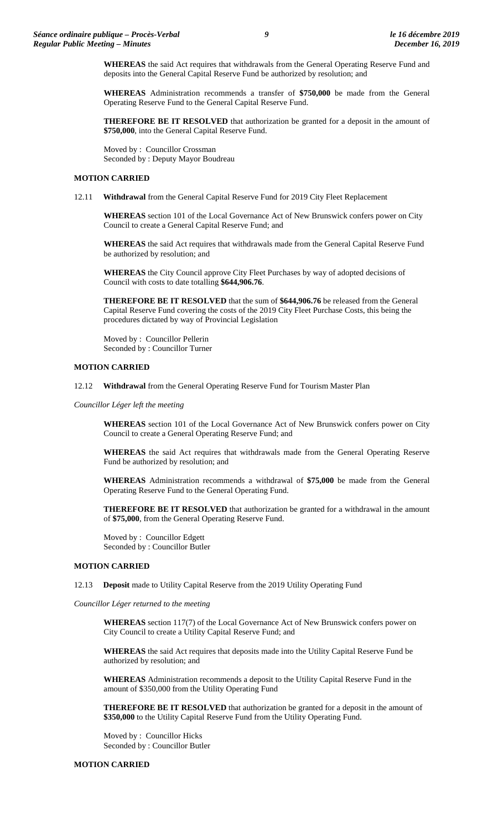**WHEREAS** the said Act requires that withdrawals from the General Operating Reserve Fund and deposits into the General Capital Reserve Fund be authorized by resolution; and

**WHEREAS** Administration recommends a transfer of **\$750,000** be made from the General Operating Reserve Fund to the General Capital Reserve Fund.

**THEREFORE BE IT RESOLVED** that authorization be granted for a deposit in the amount of **\$750,000**, into the General Capital Reserve Fund.

Moved by : Councillor Crossman Seconded by : Deputy Mayor Boudreau

#### **MOTION CARRIED**

12.11 **Withdrawal** from the General Capital Reserve Fund for 2019 City Fleet Replacement

**WHEREAS** section 101 of the Local Governance Act of New Brunswick confers power on City Council to create a General Capital Reserve Fund; and

**WHEREAS** the said Act requires that withdrawals made from the General Capital Reserve Fund be authorized by resolution; and

**WHEREAS** the City Council approve City Fleet Purchases by way of adopted decisions of Council with costs to date totalling **\$644,906.76**.

**THEREFORE BE IT RESOLVED** that the sum of **\$644,906.76** be released from the General Capital Reserve Fund covering the costs of the 2019 City Fleet Purchase Costs, this being the procedures dictated by way of Provincial Legislation

Moved by : Councillor Pellerin Seconded by : Councillor Turner

#### **MOTION CARRIED**

12.12 **Withdrawal** from the General Operating Reserve Fund for Tourism Master Plan

*Councillor Léger left the meeting*

**WHEREAS** section 101 of the Local Governance Act of New Brunswick confers power on City Council to create a General Operating Reserve Fund; and

**WHEREAS** the said Act requires that withdrawals made from the General Operating Reserve Fund be authorized by resolution; and

**WHEREAS** Administration recommends a withdrawal of **\$75,000** be made from the General Operating Reserve Fund to the General Operating Fund.

**THEREFORE BE IT RESOLVED** that authorization be granted for a withdrawal in the amount of **\$75,000**, from the General Operating Reserve Fund.

Moved by : Councillor Edgett Seconded by : Councillor Butler

## **MOTION CARRIED**

12.13 **Deposit** made to Utility Capital Reserve from the 2019 Utility Operating Fund

*Councillor Léger returned to the meeting*

**WHEREAS** section 117(7) of the Local Governance Act of New Brunswick confers power on City Council to create a Utility Capital Reserve Fund; and

**WHEREAS** the said Act requires that deposits made into the Utility Capital Reserve Fund be authorized by resolution; and

**WHEREAS** Administration recommends a deposit to the Utility Capital Reserve Fund in the amount of \$350,000 from the Utility Operating Fund

**THEREFORE BE IT RESOLVED** that authorization be granted for a deposit in the amount of **\$350,000** to the Utility Capital Reserve Fund from the Utility Operating Fund.

Moved by : Councillor Hicks Seconded by : Councillor Butler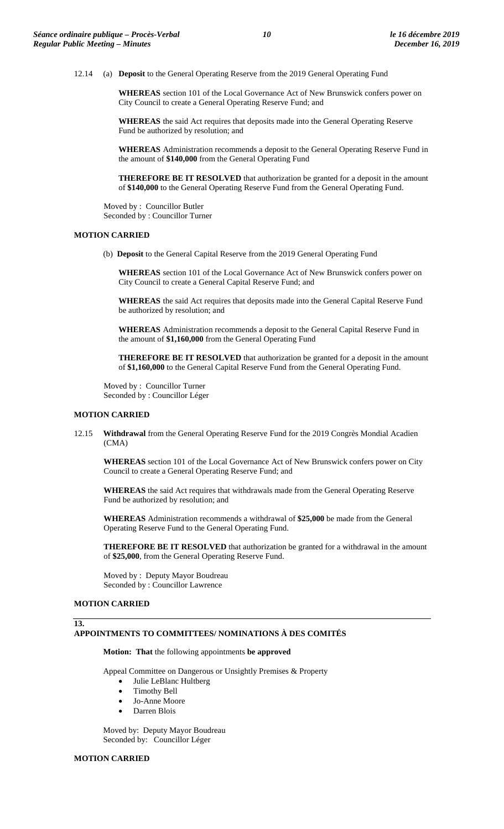12.14 (a) **Deposit** to the General Operating Reserve from the 2019 General Operating Fund

**WHEREAS** section 101 of the Local Governance Act of New Brunswick confers power on City Council to create a General Operating Reserve Fund; and

**WHEREAS** the said Act requires that deposits made into the General Operating Reserve Fund be authorized by resolution; and

**WHEREAS** Administration recommends a deposit to the General Operating Reserve Fund in the amount of **\$140,000** from the General Operating Fund

**THEREFORE BE IT RESOLVED** that authorization be granted for a deposit in the amount of **\$140,000** to the General Operating Reserve Fund from the General Operating Fund.

Moved by : Councillor Butler Seconded by : Councillor Turner

#### **MOTION CARRIED**

(b) **Deposit** to the General Capital Reserve from the 2019 General Operating Fund

**WHEREAS** section 101 of the Local Governance Act of New Brunswick confers power on City Council to create a General Capital Reserve Fund; and

**WHEREAS** the said Act requires that deposits made into the General Capital Reserve Fund be authorized by resolution; and

**WHEREAS** Administration recommends a deposit to the General Capital Reserve Fund in the amount of **\$1,160,000** from the General Operating Fund

**THEREFORE BE IT RESOLVED** that authorization be granted for a deposit in the amount of **\$1,160,000** to the General Capital Reserve Fund from the General Operating Fund.

Moved by : Councillor Turner Seconded by : Councillor Léger

#### **MOTION CARRIED**

12.15 **Withdrawal** from the General Operating Reserve Fund for the 2019 Congrès Mondial Acadien (CMA)

**WHEREAS** section 101 of the Local Governance Act of New Brunswick confers power on City Council to create a General Operating Reserve Fund; and

**WHEREAS** the said Act requires that withdrawals made from the General Operating Reserve Fund be authorized by resolution; and

**WHEREAS** Administration recommends a withdrawal of **\$25,000** be made from the General Operating Reserve Fund to the General Operating Fund.

**THEREFORE BE IT RESOLVED** that authorization be granted for a withdrawal in the amount of **\$25,000**, from the General Operating Reserve Fund.

Moved by : Deputy Mayor Boudreau Seconded by : Councillor Lawrence

#### **MOTION CARRIED**

#### **13.**

#### **APPOINTMENTS TO COMMITTEES/ NOMINATIONS À DES COMITÉS**

**Motion: That** the following appointments **be approved**

Appeal Committee on Dangerous or Unsightly Premises & Property

- Julie LeBlanc Hultberg
- Timothy Bell
- Jo-Anne Moore
- Darren Blois

Moved by: Deputy Mayor Boudreau Seconded by: Councillor Léger